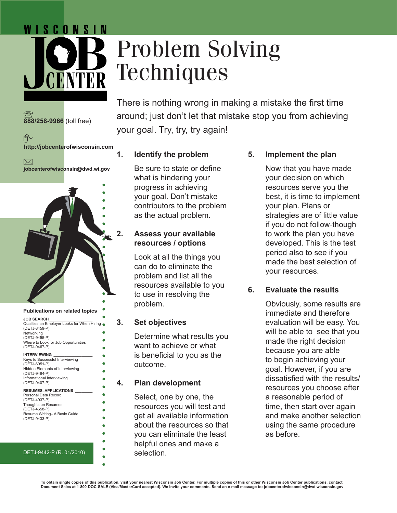## WISCONSIN



# Problem Solving **Techniques**

There is nothing wrong in making a mistake the first time around; just don't let that mistake stop you from achieving your goal. Try, try, try again!

个 **http://jobcenterofwisconsin.com**

**888/258-9966** (toll free)

 $\bowtie$ 

**jobcenterofwisconsin@dwd.wi.gov**



#### DETJ-9442-P (R. 01/2010)

#### **1. Identify the problem**

Be sure to state or define what is hindering your progress in achieving your goal. Don't mistake contributors to the problem as the actual problem.

#### **2. Assess your available resources / options**

Look at all the things you can do to eliminate the problem and list all the resources available to you to use in resolving the problem.

#### **3. Set objectives**

Determine what results you want to achieve or what is beneficial to you as the outcome.

#### **4. Plan development**

Select, one by one, the resources you will test and get all available information about the resources so that you can eliminate the least helpful ones and make a selection.

#### **5. Implement the plan**

Now that you have made your decision on which resources serve you the best, it is time to implement your plan. Plans or strategies are of little value if you do not follow-though to work the plan you have developed. This is the test period also to see if you made the best selection of your resources.

#### **6. Evaluate the results**

Obviously, some results are immediate and therefore evaluation will be easy. You will be able to see that you made the right decision because you are able to begin achieving your goal. However, if you are dissatisfied with the results/ resources you choose after a reasonable period of time, then start over again and make another selection using the same procedure as before.